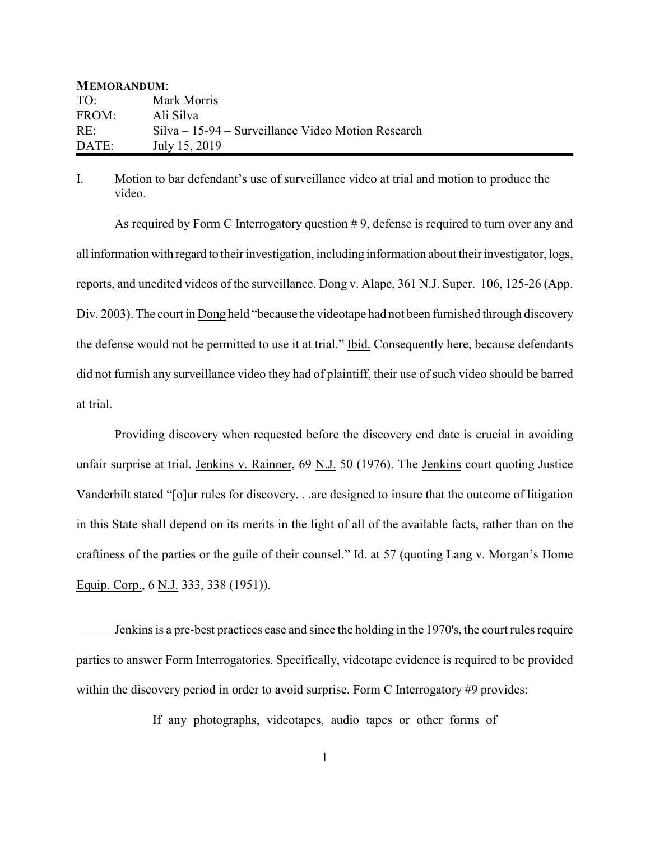| <b>MEMORANDUM:</b> |                                                      |
|--------------------|------------------------------------------------------|
| TO:                | Mark Morris                                          |
| FROM:              | Ali Silva                                            |
| RE:                | $Silva - 15-94 - Surveillance Video Motion Research$ |
| DATE:              | July 15, 2019                                        |

I. Motion to bar defendant's use of surveillance video at trial and motion to produce the video.

As required by Form C Interrogatory question # 9, defense is required to turn over any and all information with regard to their investigation, including information about their investigator, logs, reports, and unedited videos of the surveillance. Dong v. Alape, 361 N.J. Super. 106, 125-26 (App. Div. 2003). The court in Dong held "because the videotape had not been furnished through discovery the defense would not be permitted to use it at trial." Ibid. Consequently here, because defendants did not furnish any surveillance video they had of plaintiff, their use of such video should be barred at trial.

Providing discovery when requested before the discovery end date is crucial in avoiding unfair surprise at trial. Jenkins v. Rainner, 69 N.J. 50 (1976). The Jenkins court quoting Justice Vanderbilt stated "[o]ur rules for discovery. . .are designed to insure that the outcome of litigation in this State shall depend on its merits in the light of all of the available facts, rather than on the craftiness of the parties or the guile of their counsel." Id. at 57 (quoting Lang v. Morgan's Home Equip. Corp., 6 N.J. 333, 338 (1951)).

Jenkins is a pre-best practices case and since the holding in the 1970's, the court rules require parties to answer Form Interrogatories. Specifically, videotape evidence is required to be provided within the discovery period in order to avoid surprise. Form C Interrogatory #9 provides:

If any photographs, videotapes, audio tapes or other forms of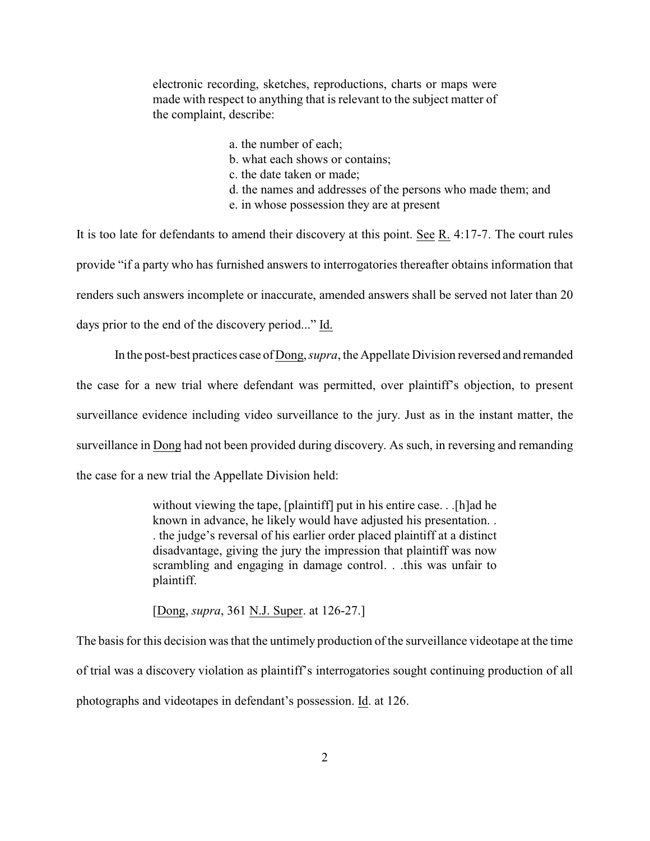electronic recording, sketches, reproductions, charts or maps were made with respect to anything that is relevant to the subject matter of the complaint, describe:

- a. the number of each; b. what each shows or contains; c. the date taken or made; d. the names and addresses of the persons who made them; and
	- e. in whose possession they are at present

It is too late for defendants to amend their discovery at this point. See R. 4:17-7. The court rules provide "if a party who has furnished answers to interrogatories thereafter obtains information that renders such answers incomplete or inaccurate, amended answers shall be served not later than 20 days prior to the end of the discovery period..." Id.

In the post-best practices case of Dong, *supra*, the Appellate Division reversed and remanded the case for a new trial where defendant was permitted, over plaintiff's objection, to present surveillance evidence including video surveillance to the jury. Just as in the instant matter, the surveillance in Dong had not been provided during discovery. As such, in reversing and remanding the case for a new trial the Appellate Division held:

> without viewing the tape, [plaintiff] put in his entire case. . .[h]ad he known in advance, he likely would have adjusted his presentation. . . the judge's reversal of his earlier order placed plaintiff at a distinct disadvantage, giving the jury the impression that plaintiff was now scrambling and engaging in damage control. . .this was unfair to plaintiff.

[Dong, *supra*, 361 N.J. Super. at 126-27.]

The basis for this decision was that the untimely production of the surveillance videotape at the time of trial was a discovery violation as plaintiff's interrogatories sought continuing production of all photographs and videotapes in defendant's possession. Id. at 126.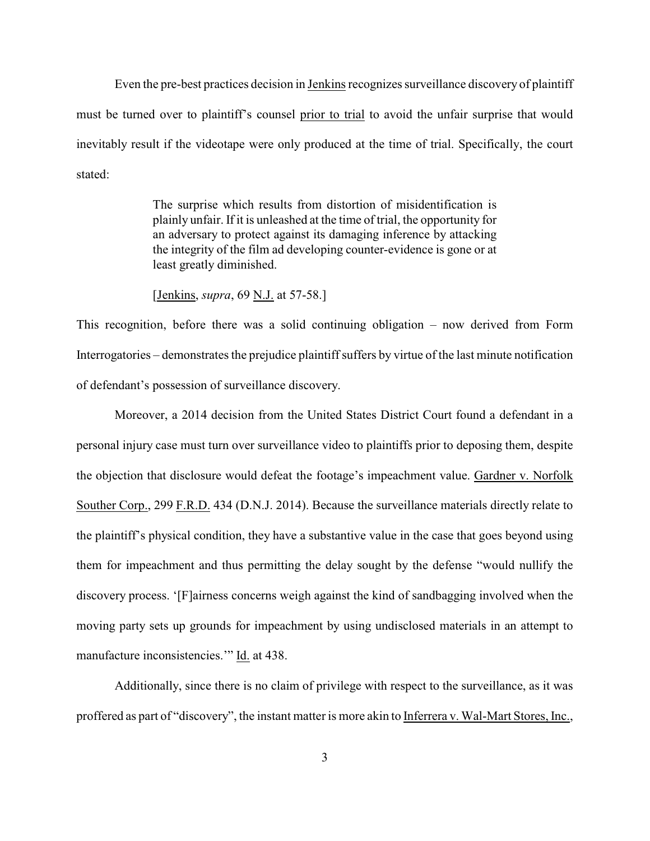Even the pre-best practices decision in Jenkins recognizes surveillance discovery of plaintiff must be turned over to plaintiff's counsel prior to trial to avoid the unfair surprise that would inevitably result if the videotape were only produced at the time of trial. Specifically, the court stated:

> The surprise which results from distortion of misidentification is plainly unfair. If it is unleashed at the time of trial, the opportunity for an adversary to protect against its damaging inference by attacking the integrity of the film ad developing counter-evidence is gone or at least greatly diminished.

[Jenkins, *supra*, 69 N.J. at 57-58.]

This recognition, before there was a solid continuing obligation – now derived from Form Interrogatories – demonstrates the prejudice plaintiff suffers by virtue of the last minute notification of defendant's possession of surveillance discovery.

Moreover, a 2014 decision from the United States District Court found a defendant in a personal injury case must turn over surveillance video to plaintiffs prior to deposing them, despite the objection that disclosure would defeat the footage's impeachment value. Gardner v. Norfolk Souther Corp., 299 F.R.D. 434 (D.N.J. 2014). Because the surveillance materials directly relate to the plaintiff's physical condition, they have a substantive value in the case that goes beyond using them for impeachment and thus permitting the delay sought by the defense "would nullify the discovery process. '[F]airness concerns weigh against the kind of sandbagging involved when the moving party sets up grounds for impeachment by using undisclosed materials in an attempt to manufacture inconsistencies.'" Id. at 438.

Additionally, since there is no claim of privilege with respect to the surveillance, as it was proffered as part of "discovery", the instant matter is more akin to Inferrera v. Wal-Mart Stores, Inc.,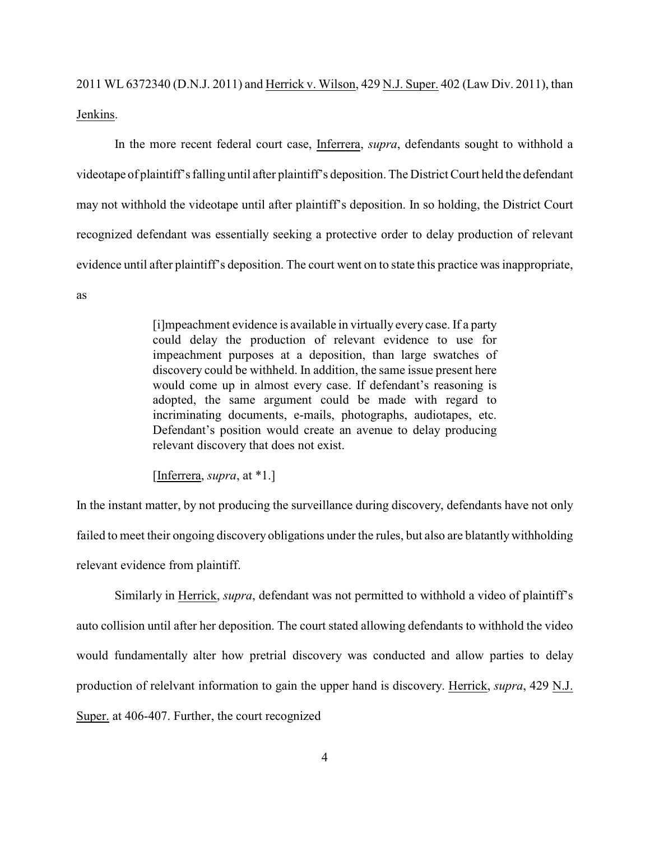2011 WL 6372340 (D.N.J. 2011) and Herrick v. Wilson, 429 N.J. Super. 402 (Law Div. 2011), than Jenkins.

In the more recent federal court case, Inferrera, *supra*, defendants sought to withhold a videotape of plaintiff's falling until after plaintiff's deposition. The District Court held the defendant may not withhold the videotape until after plaintiff's deposition. In so holding, the District Court recognized defendant was essentially seeking a protective order to delay production of relevant evidence until after plaintiff's deposition. The court went on to state this practice was inappropriate,

as

[i]mpeachment evidence is available in virtually every case. If a party could delay the production of relevant evidence to use for impeachment purposes at a deposition, than large swatches of discovery could be withheld. In addition, the same issue present here would come up in almost every case. If defendant's reasoning is adopted, the same argument could be made with regard to incriminating documents, e-mails, photographs, audiotapes, etc. Defendant's position would create an avenue to delay producing relevant discovery that does not exist.

[Inferrera, *supra*, at \*1.]

In the instant matter, by not producing the surveillance during discovery, defendants have not only failed to meet their ongoing discovery obligations under the rules, but also are blatantly withholding relevant evidence from plaintiff.

Similarly in Herrick, *supra*, defendant was not permitted to withhold a video of plaintiff's auto collision until after her deposition. The court stated allowing defendants to withhold the video would fundamentally alter how pretrial discovery was conducted and allow parties to delay production of relelvant information to gain the upper hand is discovery. Herrick, *supra*, 429 N.J. Super. at 406-407. Further, the court recognized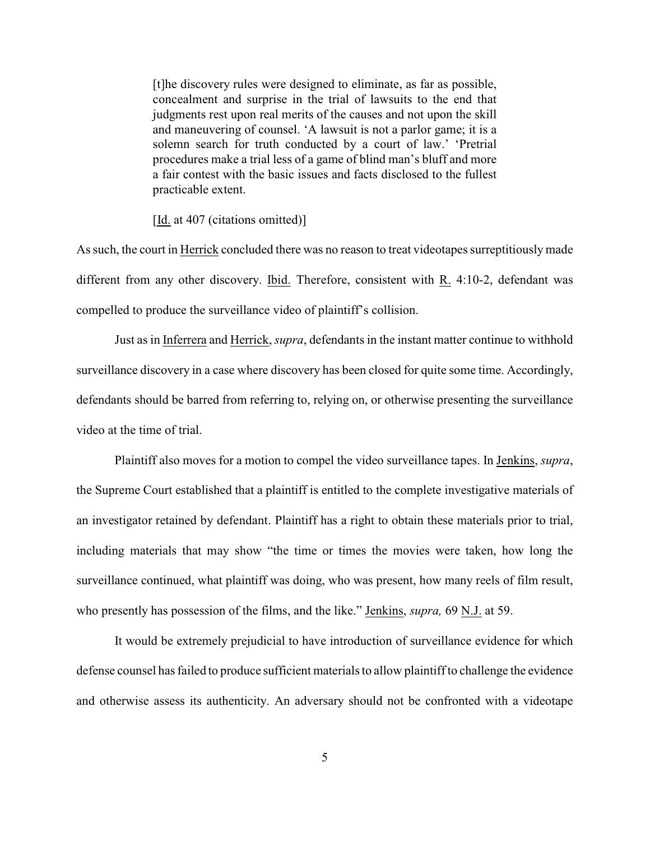[t]he discovery rules were designed to eliminate, as far as possible, concealment and surprise in the trial of lawsuits to the end that judgments rest upon real merits of the causes and not upon the skill and maneuvering of counsel. 'A lawsuit is not a parlor game; it is a solemn search for truth conducted by a court of law.' 'Pretrial procedures make a trial less of a game of blind man's bluff and more a fair contest with the basic issues and facts disclosed to the fullest practicable extent.

[Id. at 407 (citations omitted)]

As such, the court in Herrick concluded there was no reason to treat videotapes surreptitiously made different from any other discovery. Ibid. Therefore, consistent with  $R$ . 4:10-2, defendant was compelled to produce the surveillance video of plaintiff's collision.

Just as in Inferrera and Herrick, *supra*, defendants in the instant matter continue to withhold surveillance discovery in a case where discovery has been closed for quite some time. Accordingly, defendants should be barred from referring to, relying on, or otherwise presenting the surveillance video at the time of trial.

Plaintiff also moves for a motion to compel the video surveillance tapes. In Jenkins, *supra*, the Supreme Court established that a plaintiff is entitled to the complete investigative materials of an investigator retained by defendant. Plaintiff has a right to obtain these materials prior to trial, including materials that may show "the time or times the movies were taken, how long the surveillance continued, what plaintiff was doing, who was present, how many reels of film result, who presently has possession of the films, and the like." Jenkins, *supra,* 69 N.J. at 59.

It would be extremely prejudicial to have introduction of surveillance evidence for which defense counsel has failed to produce sufficient materials to allow plaintiff to challenge the evidence and otherwise assess its authenticity. An adversary should not be confronted with a videotape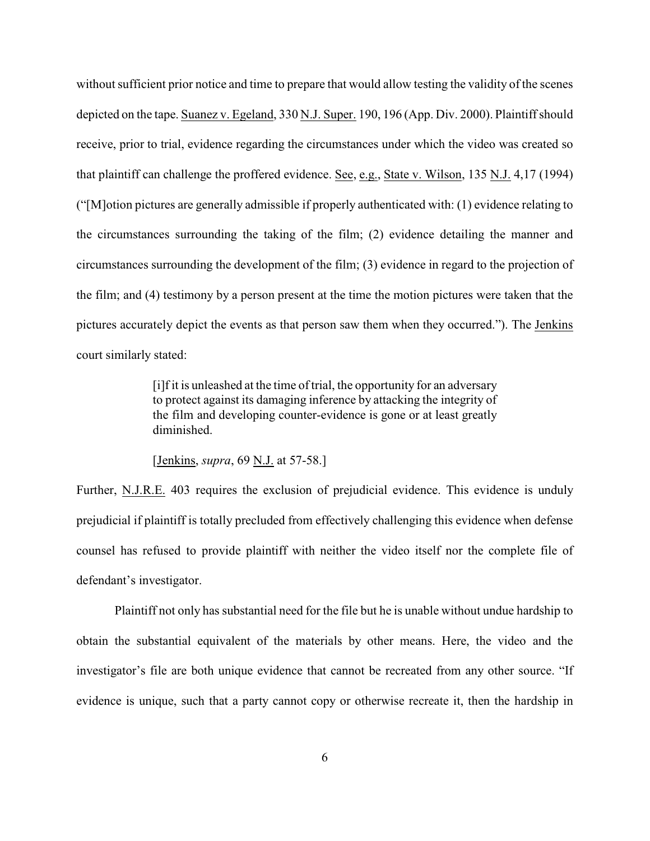without sufficient prior notice and time to prepare that would allow testing the validity of the scenes depicted on the tape. Suanez v. Egeland, 330 N.J. Super. 190, 196 (App. Div. 2000). Plaintiff should receive, prior to trial, evidence regarding the circumstances under which the video was created so that plaintiff can challenge the proffered evidence. See, e.g., State v. Wilson, 135 N.J. 4,17 (1994) ("[M]otion pictures are generally admissible if properly authenticated with: (1) evidence relating to the circumstances surrounding the taking of the film; (2) evidence detailing the manner and circumstances surrounding the development of the film; (3) evidence in regard to the projection of the film; and (4) testimony by a person present at the time the motion pictures were taken that the pictures accurately depict the events as that person saw them when they occurred."). The Jenkins court similarly stated:

> [i]f it is unleashed at the time of trial, the opportunity for an adversary to protect against its damaging inference by attacking the integrity of the film and developing counter-evidence is gone or at least greatly diminished.

[Jenkins, *supra*, 69 N.J. at 57-58.]

Further, N.J.R.E. 403 requires the exclusion of prejudicial evidence. This evidence is unduly prejudicial if plaintiff is totally precluded from effectively challenging this evidence when defense counsel has refused to provide plaintiff with neither the video itself nor the complete file of defendant's investigator.

Plaintiff not only has substantial need for the file but he is unable without undue hardship to obtain the substantial equivalent of the materials by other means. Here, the video and the investigator's file are both unique evidence that cannot be recreated from any other source. "If evidence is unique, such that a party cannot copy or otherwise recreate it, then the hardship in